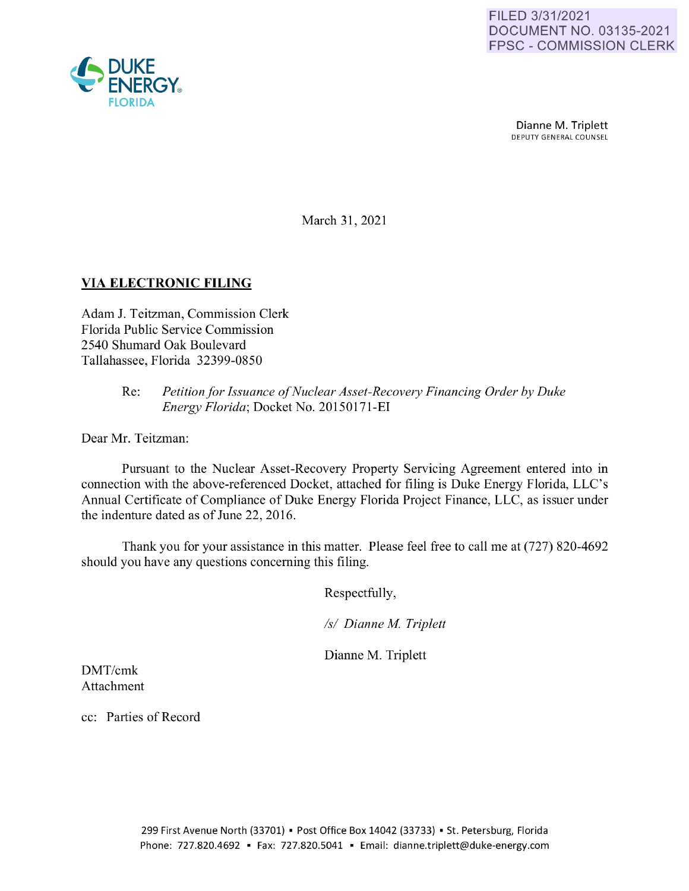

Dianne M. Triplett<br>DEPUTY GENERAL COUNSEL

March 31, 2021

## **VIA ELECTRONIC FILING**

Adam J. Teitzman, Commission Clerk Florida Public Service Commission 2540 Shumard Oak Boulevard Tallahassee, Florida 32399-0850

## Re: *Petition for Issuance of Nuclear Asset-Recovery Financing Order by Duke Energy Florida;* Docket No. 20150171-EI

Dear Mr. Teitzman:

Pursuant to the Nuclear Asset-Recovery Property Servicing Agreement entered into in connection with the above-referenced Docket, attached for filing is Duke Energy Florida, LLC's Annual Certificate of Compliance of Duke Energy Florida Project Finance, LLC, as issuer under the indenture dated as of June 22, 2016.

Thank you for your assistance in this matter. Please feel free to call me at (727) 820-4692 should you have any questions concerning this filing.

Respectfully,

*Isl Dianne M Triplett* 

Dianne M. Triplett

DMT/cmk Attachment

cc: Parties of Record

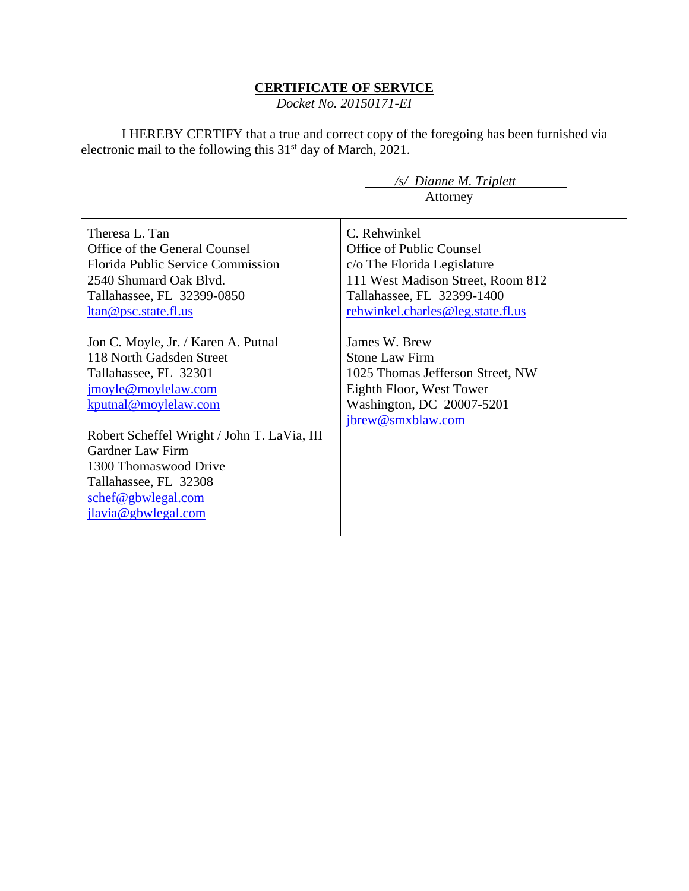## **CERTIFICATE OF SERVICE**

*Docket No. 20150171-EI*

I HEREBY CERTIFY that a true and correct copy of the foregoing has been furnished via electronic mail to the following this 31<sup>st</sup> day of March, 2021.

| /s/ Dianne M. Triplett            |
|-----------------------------------|
| Attorney                          |
|                                   |
| C. Rehwinkel                      |
| <b>Office of Public Counsel</b>   |
| c/o The Florida Legislature       |
| 111 West Madison Street, Room 812 |
| Tallahassee, FL 32399-1400        |
| rehwinkel.charles@leg.state.fl.us |
|                                   |
| James W. Brew                     |
| <b>Stone Law Firm</b>             |
| 1025 Thomas Jefferson Street, NW  |
| Eighth Floor, West Tower          |
| Washington, DC 20007-5201         |
| jbrew@smxblaw.com                 |
|                                   |
|                                   |
|                                   |
|                                   |
|                                   |
|                                   |
|                                   |
|                                   |